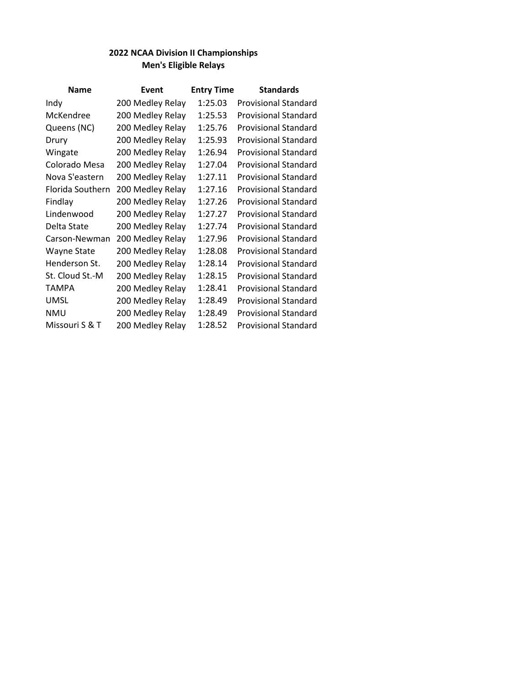| <b>Name</b>        | Event            | <b>Entry Time</b> | <b>Standards</b>            |
|--------------------|------------------|-------------------|-----------------------------|
| Indy               | 200 Medley Relay | 1:25.03           | <b>Provisional Standard</b> |
| McKendree          | 200 Medley Relay | 1:25.53           | <b>Provisional Standard</b> |
| Queens (NC)        | 200 Medley Relay | 1:25.76           | <b>Provisional Standard</b> |
| Drury              | 200 Medley Relay | 1:25.93           | <b>Provisional Standard</b> |
| Wingate            | 200 Medley Relay | 1:26.94           | <b>Provisional Standard</b> |
| Colorado Mesa      | 200 Medley Relay | 1:27.04           | <b>Provisional Standard</b> |
| Nova S'eastern     | 200 Medley Relay | 1:27.11           | <b>Provisional Standard</b> |
| Florida Southern   | 200 Medley Relay | 1:27.16           | <b>Provisional Standard</b> |
| Findlay            | 200 Medley Relay | 1:27.26           | <b>Provisional Standard</b> |
| Lindenwood         | 200 Medley Relay | 1:27.27           | <b>Provisional Standard</b> |
| Delta State        | 200 Medley Relay | 1:27.74           | <b>Provisional Standard</b> |
| Carson-Newman      | 200 Medley Relay | 1:27.96           | <b>Provisional Standard</b> |
| <b>Wayne State</b> | 200 Medley Relay | 1:28.08           | <b>Provisional Standard</b> |
| Henderson St.      | 200 Medley Relay | 1:28.14           | <b>Provisional Standard</b> |
| St. Cloud St.-M    | 200 Medley Relay | 1:28.15           | <b>Provisional Standard</b> |
| TAMPA              | 200 Medley Relay | 1:28.41           | <b>Provisional Standard</b> |
| UMSL               | 200 Medley Relay | 1:28.49           | <b>Provisional Standard</b> |
| <b>NMU</b>         | 200 Medley Relay | 1:28.49           | <b>Provisional Standard</b> |
| Missouri S & T     | 200 Medley Relay | 1:28.52           | <b>Provisional Standard</b> |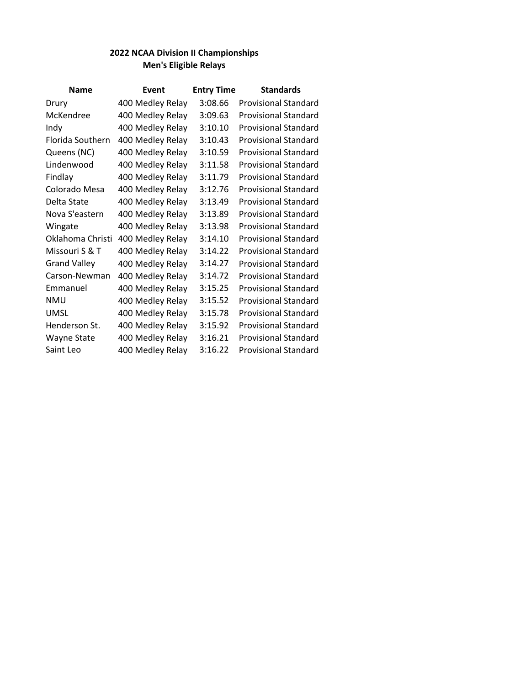| <b>Name</b>         | Event            | <b>Entry Time</b> | <b>Standards</b>            |
|---------------------|------------------|-------------------|-----------------------------|
| Drury               | 400 Medley Relay | 3:08.66           | <b>Provisional Standard</b> |
| McKendree           | 400 Medley Relay | 3:09.63           | <b>Provisional Standard</b> |
| Indy                | 400 Medley Relay | 3:10.10           | <b>Provisional Standard</b> |
| Florida Southern    | 400 Medley Relay | 3:10.43           | <b>Provisional Standard</b> |
| Queens (NC)         | 400 Medley Relay | 3:10.59           | <b>Provisional Standard</b> |
| Lindenwood          | 400 Medley Relay | 3:11.58           | <b>Provisional Standard</b> |
| Findlay             | 400 Medley Relay | 3:11.79           | <b>Provisional Standard</b> |
| Colorado Mesa       | 400 Medley Relay | 3:12.76           | <b>Provisional Standard</b> |
| Delta State         | 400 Medley Relay | 3:13.49           | <b>Provisional Standard</b> |
| Nova S'eastern      | 400 Medley Relay | 3:13.89           | <b>Provisional Standard</b> |
| Wingate             | 400 Medley Relay | 3:13.98           | <b>Provisional Standard</b> |
| Oklahoma Christi    | 400 Medley Relay | 3:14.10           | <b>Provisional Standard</b> |
| Missouri S & T      | 400 Medley Relay | 3:14.22           | <b>Provisional Standard</b> |
| <b>Grand Valley</b> | 400 Medley Relay | 3:14.27           | <b>Provisional Standard</b> |
| Carson-Newman       | 400 Medley Relay | 3:14.72           | <b>Provisional Standard</b> |
| Emmanuel            | 400 Medley Relay | 3:15.25           | <b>Provisional Standard</b> |
| <b>NMU</b>          | 400 Medley Relay | 3:15.52           | <b>Provisional Standard</b> |
| <b>UMSL</b>         | 400 Medley Relay | 3:15.78           | <b>Provisional Standard</b> |
| Henderson St.       | 400 Medley Relay | 3:15.92           | <b>Provisional Standard</b> |
| Wayne State         | 400 Medley Relay | 3:16.21           | <b>Provisional Standard</b> |
| Saint Leo           | 400 Medley Relay | 3:16.22           | <b>Provisional Standard</b> |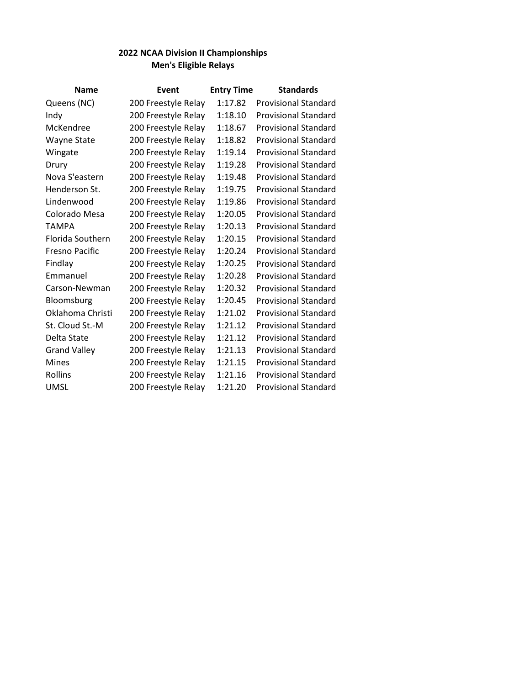| <b>Name</b>           | Event               | <b>Entry Time</b> | <b>Standards</b>            |
|-----------------------|---------------------|-------------------|-----------------------------|
| Queens (NC)           | 200 Freestyle Relay | 1:17.82           | <b>Provisional Standard</b> |
| Indy                  | 200 Freestyle Relay | 1:18.10           | <b>Provisional Standard</b> |
| McKendree             | 200 Freestyle Relay | 1:18.67           | <b>Provisional Standard</b> |
| Wayne State           | 200 Freestyle Relay | 1:18.82           | <b>Provisional Standard</b> |
| Wingate               | 200 Freestyle Relay | 1:19.14           | <b>Provisional Standard</b> |
| Drury                 | 200 Freestyle Relay | 1:19.28           | <b>Provisional Standard</b> |
| Nova S'eastern        | 200 Freestyle Relay | 1:19.48           | <b>Provisional Standard</b> |
| Henderson St.         | 200 Freestyle Relay | 1:19.75           | <b>Provisional Standard</b> |
| Lindenwood            | 200 Freestyle Relay | 1:19.86           | <b>Provisional Standard</b> |
| Colorado Mesa         | 200 Freestyle Relay | 1:20.05           | <b>Provisional Standard</b> |
| <b>TAMPA</b>          | 200 Freestyle Relay | 1:20.13           | <b>Provisional Standard</b> |
| Florida Southern      | 200 Freestyle Relay | 1:20.15           | <b>Provisional Standard</b> |
| <b>Fresno Pacific</b> | 200 Freestyle Relay | 1:20.24           | <b>Provisional Standard</b> |
| Findlay               | 200 Freestyle Relay | 1:20.25           | <b>Provisional Standard</b> |
| Emmanuel              | 200 Freestyle Relay | 1:20.28           | <b>Provisional Standard</b> |
| Carson-Newman         | 200 Freestyle Relay | 1:20.32           | <b>Provisional Standard</b> |
| Bloomsburg            | 200 Freestyle Relay | 1:20.45           | <b>Provisional Standard</b> |
| Oklahoma Christi      | 200 Freestyle Relay | 1:21.02           | <b>Provisional Standard</b> |
| St. Cloud St.-M       | 200 Freestyle Relay | 1:21.12           | <b>Provisional Standard</b> |
| Delta State           | 200 Freestyle Relay | 1:21.12           | <b>Provisional Standard</b> |
| <b>Grand Valley</b>   | 200 Freestyle Relay | 1:21.13           | <b>Provisional Standard</b> |
| <b>Mines</b>          | 200 Freestyle Relay | 1:21.15           | <b>Provisional Standard</b> |
| Rollins               | 200 Freestyle Relay | 1:21.16           | <b>Provisional Standard</b> |
| <b>UMSL</b>           | 200 Freestyle Relay | 1:21.20           | <b>Provisional Standard</b> |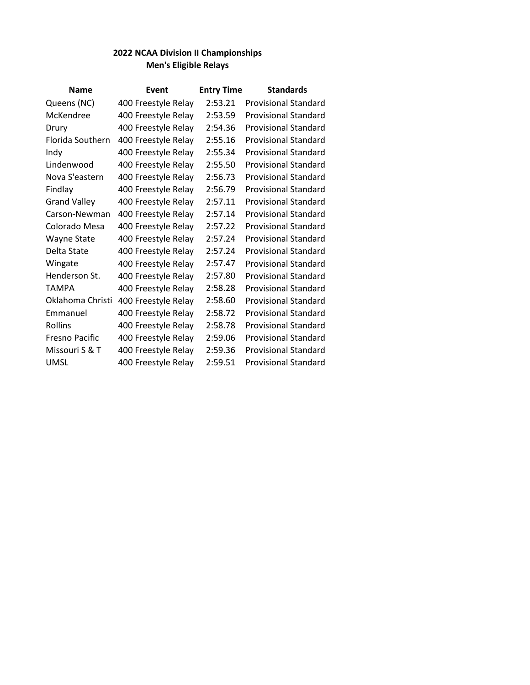| <b>Name</b>         | Event               | <b>Entry Time</b> | <b>Standards</b>            |
|---------------------|---------------------|-------------------|-----------------------------|
| Queens (NC)         | 400 Freestyle Relay | 2:53.21           | <b>Provisional Standard</b> |
| McKendree           | 400 Freestyle Relay | 2:53.59           | <b>Provisional Standard</b> |
| Drury               | 400 Freestyle Relay | 2:54.36           | <b>Provisional Standard</b> |
| Florida Southern    | 400 Freestyle Relay | 2:55.16           | <b>Provisional Standard</b> |
| Indy                | 400 Freestyle Relay | 2:55.34           | <b>Provisional Standard</b> |
| Lindenwood          | 400 Freestyle Relay | 2:55.50           | <b>Provisional Standard</b> |
| Nova S'eastern      | 400 Freestyle Relay | 2:56.73           | <b>Provisional Standard</b> |
| Findlay             | 400 Freestyle Relay | 2:56.79           | <b>Provisional Standard</b> |
| <b>Grand Valley</b> | 400 Freestyle Relay | 2:57.11           | <b>Provisional Standard</b> |
| Carson-Newman       | 400 Freestyle Relay | 2:57.14           | <b>Provisional Standard</b> |
| Colorado Mesa       | 400 Freestyle Relay | 2:57.22           | <b>Provisional Standard</b> |
| Wayne State         | 400 Freestyle Relay | 2:57.24           | <b>Provisional Standard</b> |
| Delta State         | 400 Freestyle Relay | 2:57.24           | <b>Provisional Standard</b> |
| Wingate             | 400 Freestyle Relay | 2:57.47           | <b>Provisional Standard</b> |
| Henderson St.       | 400 Freestyle Relay | 2:57.80           | <b>Provisional Standard</b> |
| <b>TAMPA</b>        | 400 Freestyle Relay | 2:58.28           | <b>Provisional Standard</b> |
| Oklahoma Christi    | 400 Freestyle Relay | 2:58.60           | <b>Provisional Standard</b> |
| Emmanuel            | 400 Freestyle Relay | 2:58.72           | <b>Provisional Standard</b> |
| Rollins             | 400 Freestyle Relay | 2:58.78           | <b>Provisional Standard</b> |
| Fresno Pacific      | 400 Freestyle Relay | 2:59.06           | <b>Provisional Standard</b> |
| Missouri S & T      | 400 Freestyle Relay | 2:59.36           | <b>Provisional Standard</b> |
| <b>UMSL</b>         | 400 Freestyle Relay | 2:59.51           | <b>Provisional Standard</b> |